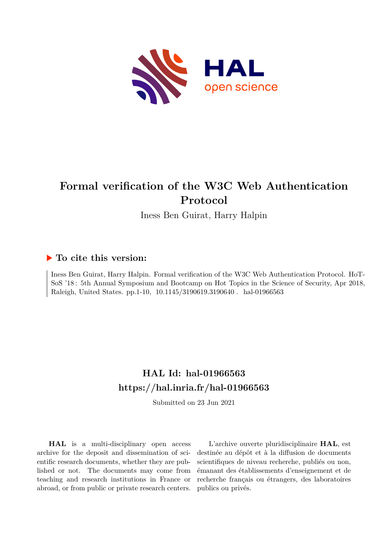

# **Formal verification of the W3C Web Authentication Protocol**

Iness Ben Guirat, Harry Halpin

## **To cite this version:**

Iness Ben Guirat, Harry Halpin. Formal verification of the W3C Web Authentication Protocol. HoT-SoS '18 : 5th Annual Symposium and Bootcamp on Hot Topics in the Science of Security, Apr 2018, Raleigh, United States. pp.1-10, 10.1145/3190619.3190640. hal-01966563

# **HAL Id: hal-01966563 <https://hal.inria.fr/hal-01966563>**

Submitted on 23 Jun 2021

**HAL** is a multi-disciplinary open access archive for the deposit and dissemination of scientific research documents, whether they are published or not. The documents may come from teaching and research institutions in France or abroad, or from public or private research centers.

L'archive ouverte pluridisciplinaire **HAL**, est destinée au dépôt et à la diffusion de documents scientifiques de niveau recherche, publiés ou non, émanant des établissements d'enseignement et de recherche français ou étrangers, des laboratoires publics ou privés.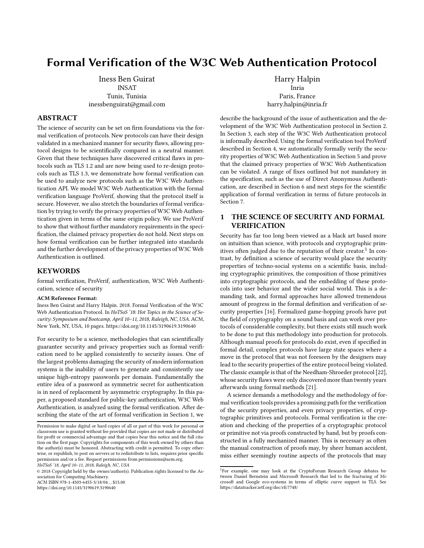## Formal Verification of the W3C Web Authentication Protocol

Iness Ben Guirat INSAT Tunis, Tunisia inessbenguirat@gmail.com

## ABSTRACT

The science of security can be set on firm foundations via the formal verification of protocols. New protocols can have their design validated in a mechanized manner for security flaws, allowing protocol designs to be scientifically compared in a neutral manner. Given that these techniques have discovered critical flaws in protocols such as TLS 1.2 and are now being used to re-design protocols such as TLS 1.3, we demonstrate how formal verification can be used to analyze new protocols such as the W3C Web Authentication API. We model W3C Web Authentication with the formal verification language ProVerif, showing that the protocol itself is secure. However, we also stretch the boundaries of formal verification by trying to verify the privacy properties of W3C Web Authentication given in terms of the same origin policy. We use ProVerif to show that without further mandatory requirements in the speci fication, the claimed privacy properties do not hold. Next steps on how formal verification can be further integrated into standards and the further development of the privacy properties of W3C Web Authentication is outlined.

## **KEYWORDS**

formal verification, ProVerif, authentication, W3C Web Authentication, science of security

#### ACM Reference Format:

Iness Ben Guirat and Harry Halpin. 2018. Formal Verification of the W3C Web Authentication Protocol. In HoTSoS '18: Hot Topics in the Science of Security: Symposium and Bootcamp, April 10–11, 2018, Raleigh, NC, USA. ACM, New York, NY, USA, 10 pages.<https://doi.org/10.1145/3190619.3190640>

For security to be a science, methodologies that can scientifically guarantee security and privacy properties such as formal verification need to be applied consistently to security issues. One of the largest problems damaging the security of modern information systems is the inability of users to generate and consistently use unique high-entropy passwords per domain. Fundamentally the entire idea of a password as symmetric secret for authentication is in need of replacement by asymmetric cryptography. In this paper, a proposed standard for public-key authentication, W3C Web Authentication, is analyzed using the formal verification. After describing the state of the art of formal verification in Section 1, we

© 2018 Copyright held by the owner/author(s). Publication rights licensed to the Association for Computing Machinery. ACM ISBN 978-1-4503-6455-3/18/04. . . \$15.00

<https://doi.org/10.1145/3190619.3190640>

Harry Halpin Inria Paris, France harry.halpin@inria.fr

describe the background of the issue of authentication and the development of the W3C Web Authentication protocol in Section 2. In Section 3, each step of the W3C Web Authentication protocol is informally described. Using the formal verification tool ProVerif described in Section 4, we automatically formally verify the security properties of W3C Web Authentication in Section 5 and prove that the claimed privacy properties of W3C Web Authentication can be violated. A range of fixes outlined but not mandatory in the specification, such as the use of Direct Anonymous Authentication, are described in Section 6 and next steps for the scientific application of formal verification in terms of future protocols in Section 7.

## 1 THE SCIENCE OF SECURITY AND FORMAL VERIFICATION

Security has far too long been viewed as a black art based more on intuition than science, with protocols and cryptographic primitives often judged due to the reputation of their creator.<sup>1</sup> In contrast, by definition a science of security would place the security properties of techno-social systems on a scientific basis, including cryptographic primitives, the composition of those primitives into cryptographic protocols, and the embedding of these protocols into user behavior and the wider social world. This is a demanding task, and formal approaches have allowed tremendous amount of progress in the formal definition and verification of security properties [16]. Formalized game-hopping proofs have put the field of cryptography on a sound basis and can work over protocols of considerable complexity, but there exists still much work to be done to put this methodology into production for protocols. Although manual proofs for protocols do exist, even if specified in formal detail, complex protocols have large state spaces where a move in the protocol that was not foreseen by the designers may lead to the security properties of the entire protocol being violated. The classic example is that of the Needham-Shroeder protocol [22], whose security flaws were only discovered more than twenty years afterwards using formal methods [21].

A science demands a methodology and the methodology of formal verification tools provides a promising path for the verification of the security properties, and even privacy properties, of cryptographic primitives and protocols. Formal verification is the creation and checking of the properties of a cryptographic protocol or primitive not via proofs constructed by hand, but by proofs constructed in a fully mechanized manner. This is necessary as often the manual construction of proofs may, by sheer human accident, miss either seemingly routine aspects of the protocols that may

Permission to make digital or hard copies of all or part of this work for personal or classroom use is granted without fee provided that copies are not made or distributed for profit or commercial advantage and that copies bear this notice and the full citation on the first page. Copyrights for components of this work owned by others than the author(s) must be honored. Abstracting with credit is permitted. To copy otherwise, or republish, to post on servers or to redistribute to lists, requires prior specific permission and/or a fee. Request permissions from permissions@acm.org.

HoTSoS '18, April 10–11, 2018, Raleigh, NC, USA

<sup>&</sup>lt;sup>1</sup>For example, one may look at the CryptoForum Research Group debates between Daniel Bernstein and Microsoft Research that led to the fracturing of Microsoft and Google eco-systems in terms of elliptic curve support in TLS. See <https://datatracker.ietf.org/doc/rfc7748/>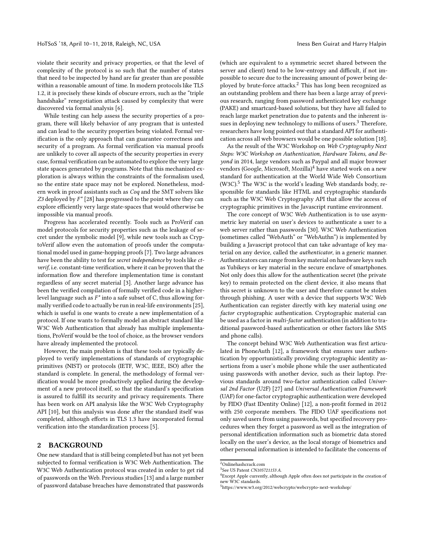violate their security and privacy properties, or that the level of complexity of the protocol is so such that the number of states that need to be inspected by hand are far greater than are possible within a reasonable amount of time. In modern protocols like TLS 1.2, it is precisely these kinds of obscure errors, such as the "triple handshake" renegotiation attack caused by complexity that were discovered via formal analysis [6].

While testing can help assess the security properties of a program, there will likely behavior of any program that is untested and can lead to the security properties being violated. Formal verification is the only approach that can guarantee correctness and security of a program. As formal verification via manual proofs are unlikely to cover all aspects of the security properties in every case, formal verification can be automated to explore the very large state spaces generated by programs. Note that this mechanized exploration is always within the constraints of the formalism used, so the entire state space may not be explored. Nonetheless, modern work in proof assistants such as Coq and the SMT solvers like Z3 deployed by  $F^*$  [28] has progressed to the point where they can explore efficiently very large state-spaces that would otherwise be impossible via manual proofs.

Progress has accelerated recently. Tools such as ProVerif can model protocols for security properties such as the leakage of secret under the symbolic model [9], while new tools such as CryptoVerif allow even the automation of proofs under the computational model used in game-hopping proofs [7]. Two large advances have been the ability to test for secret independence by tools like ctverif, i.e. constant-time verification, where it can be proven that the information flow and therefore implementation time is constant regardless of any secret material [3]. Another large advance has been the verified compilation of formally verified code in a higherlevel language such as  $F^*$  into a safe subset of C, thus allowing formally verified code to actually be run in real-life environments [25], which is useful is one wants to create a new implementation of a protocol. If one wants to formally model an abstract standard like W3C Web Authentication that already has multiple implementations, ProVerif would be the tool of choice, as the browser vendors have already implemented the protocol.

However, the main problem is that these tools are typically deployed to verify implementations of standards of cryptographic primitives (NIST) or protocols (IETF, W3C, IEEE, ISO) after the standard is complete. In general, the methodology of formal verification would be more productively applied during the development of a new protocol itself, so that the standard's specification is assured to fulfill its security and privacy requirements. There has been work on API analysis like the W3C Web Cryptography API [10], but this analysis was done after the standard itself was completed, although efforts in TLS 1.3 have incorporated formal verification into the standardization process [5].

## 2 BACKGROUND

One new standard that is still being completed but has not yet been subjected to formal verification is W3C Web Authentication. The W3C Web Authentication protocol was created in order to get rid of passwords on the Web. Previous studies [13] and a large number of password database breaches have demonstrated that passwords (which are equivalent to a symmetric secret shared between the server and client) tend to be low-entropy and difficult, if not impossible to secure due to the increasing amount of power being deployed by brute-force attacks.<sup>2</sup> This has long been recognized as an outstanding problem and there has been a large array of previous research, ranging from password authenticated key exchange (PAKE) and smartcard-based solutions, but they have all failed to reach large market penetration due to patents and the inherent issues in deploying new technology to millions of users.<sup>3</sup> Therefore, researchers have long pointed out that a standard API for authentication across all web browsers would be one possible solution [18].

As the result of the W3C Workshop on Web Cryptography Next Steps: W3C Workshop on Authentication, Hardware Tokens, and Beyond in 2014, large vendors such as Paypal and all major browser vendors (Google, Microsoft, Mozilla)<sup>4</sup> have started work on a new standard for authentication at the World Wide Web Consortium  $(W3C)^5$ . The W3C is the world's leading Web standards body, responsible for standards like HTML and cryptographic standards such as the W3C Web Cryptography API that allow the access of cryptographic primitives in the Javascript runtime environment.

The core concept of W3C Web Authentication is to use asymmetric key material on user's devices to authenticate a user to a web server rather than passwords [30]. W3C Web Authentication (sometimes called "WebAuth" or "WebAuthn") is implemented by building a Javascript protocol that can take advantage of key material on any device, called the authenticator, in a generic manner. Authenticators can range from key material on hardware keys such as Yubikeys or key material in the secure enclave of smartphones. Not only does this allow for the authentication secret (the private key) to remain protected on the client device, it also means that this secret is unknown to the user and therefore cannot be stolen through phishing. A user with a device that supports W3C Web Authentication can register directly with key material using one factor cryptographic authentication. Cryptographic material can be used as a factor in multi-factor authentication (in addition to traditional password-based authentication or other factors like SMS and phone calls).

The concept behind W3C Web Authentication was first articulated in PhoneAuth [12], a framework that ensures user authentication by opportunistically providing cryptographic identity assertions from a user's mobile phone while the user authenticated using passwords with another device, such as their laptop. Previous standards around two-factor authentication called Universal 2nd Factor (U2F) [27] and Universal Authentication Framework (UAF) for one-factor cryptographic authentication were developed by FIDO (Fast IDentity Online) [12], a non-profit formed in 2012 with 250 corporate members. The FIDO UAF specifications not only saved users from using passwords, but specified recovery procedures when they forget a password as well as the integration of personal identification information such as biometric data stored locally on the user's device, as the local storage of biometrics and other personal information is intended to facilitate the concerns of

<sup>2</sup><Onlinehashcrack.com>

<sup>3</sup> See US Patent CN105721153 A.

 $^4\rm{Except}$  Apple currently, although Apple often does not participate in the creation of new W3C standards.

<sup>5</sup><https://www.w3.org/2012/webcrypto/webcrypto-next-workshop/>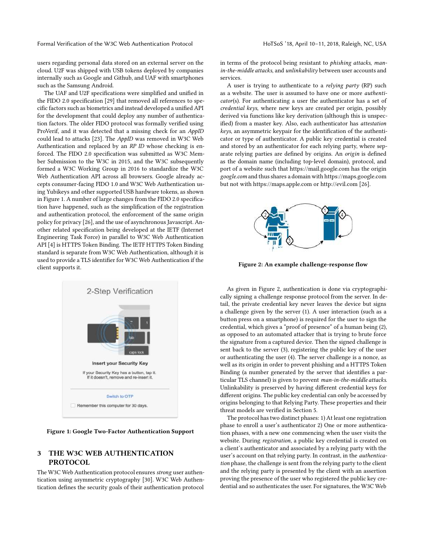users regarding personal data stored on an external server on the cloud. U2F was shipped with USB tokens deployed by companies internally such as Google and Github, and UAF with smartphones such as the Samsung Android.

The UAF and U2F specifications were simplified and unified in the FIDO 2.0 specification [29] that removed all references to specific factors such as biometrics and instead developed a unified API for the development that could deploy any number of authentication factors. The older FIDO protocol was formally verified using ProVerif, and it was detected that a missing check for an AppID could lead to attacks [23]. The AppID was removed in W3C Web Authentication and replaced by an RP ID whose checking is enforced. The FIDO 2.0 specification was submitted as W3C Member Submission to the W3C in 2015, and the W3C subsequently formed a W3C Working Group in 2016 to standardize the W3C Web Authentication API across all browsers. Google already accepts consumer-facing FIDO 1.0 and W3C Web Authentication using Yubikeys and other supported USB hardware tokens, as shown in Figure 1. A number of large changes from the FIDO 2.0 specification have happened, such as the simplication of the registration and authentication protocol, the enforcement of the same origin policy for privacy [26], and the use of asynchronous Javascript. Another related specification being developed at the IETF (Internet Engineering Task Force) in parallel to W3C Web Authentication API [4] is HTTPS Token Binding. The IETF HTTPS Token Binding standard is separate from W3C Web Authentication, although it is used to provide a TLS identifier for W3C Web Authentication if the client supports it.



Figure 1: Google Two-Factor Authentication Support

## 3 THE W3C WEB AUTHENTICATION PROTOCOL

The W3C Web Authentication protocol ensures strong user authentication using asymmetric cryptography [30]. W3C Web Authentication defines the security goals of their authentication protocol

in terms of the protocol being resistant to phishing attacks, manin-the-middle attacks, and unlinkability between user accounts and services.

A user is trying to authenticate to a *relying party* (RP) such as a website. The user is assumed to have one or more authenticator(s). For authenticating a user the authenticator has a set of credential keys, where new keys are created per origin, possibly derived via functions like key derivation (although this is unspecified) from a master key. Also, each authenticator has attestation keys, an asymmetric keypair for the identification of the authenticator or type of authenticator. A public key credential is created and stored by an authenticator for each relying party, where separate relying parties are defined by origins. An origin is defined as the domain name (including top-level domain), protocol, and port of a website such that<https://mail.google.com> has the origin google.com and thus shares a domain with<https://maps.google.com> but not with<https://maps.apple.com> or<http://evil.com> [26].



Figure 2: An example challenge-response flow

As given in Figure 2, authentication is done via cryptographically signing a challenge response protocol from the server. In detail, the private credential key never leaves the device but signs a challenge given by the server (1). A user interaction (such as a button press on a smartphone) is required for the user to sign the credential, which gives a "proof of presence" of a human being (2), as opposed to an automated attacker that is trying to brute force the signature from a captured device. Then the signed challenge is sent back to the server (3), registering the public key of the user or authenticating the user (4). The server challenge is a nonce, as well as its origin in order to prevent phishing and a HTTPS Token Binding (a number generated by the server that identifies a particular TLS channel) is given to prevent man-in-the-middle attacks. Unlinkability is preserved by having different credential keys for different origins. The public key credential can only be accessed by origins belonging to that Relying Party. These properties and their threat models are verified in Section 5.

The protocol has two distinct phases: 1) At least one registration phase to enroll a user's authenticator 2) One or more authentication phases, with a new one commencing when the user visits the website. During registration, a public key credential is created on a client's authenticator and associated by a relying party with the user's account on that relying party. In contrast, in the authentication phase, the challenge is sent from the relying party to the client and the relying party is presented by the client with an assertion proving the presence of the user who registered the public key credential and so authenticates the user. For signatures, the W3C Web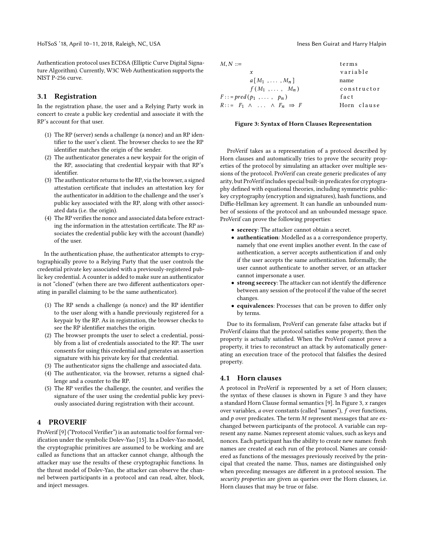Authentication protocol uses ECDSA (Elliptic Curve Digital Signature Algorithm). Currently, W3C Web Authentication supports the NIST P-256 curve.

#### 3.1 Registration

In the registration phase, the user and a Relying Party work in concert to create a public key credential and associate it with the RP's account for that user.

- (1) The RP (server) sends a challenge (a nonce) and an RP identifier to the user's client. The browser checks to see the RP identifier matches the origin of the sender.
- (2) The authenticator generates a new keypair for the origin of the RP, associating that credential keypair with that RP's identifier.
- (3) The authenticator returns to the RP, via the browser, a signed attestation certificate that includes an attestation key for the authenticator in addition to the challenge and the user's public key associated with the RP, along with other associated data (i.e. the origin).
- (4) The RP verifies the nonce and associated data before extracting the information in the attestation certificate. The RP associates the credential public key with the account (handle) of the user.

In the authentication phase, the authenticator attempts to cryptographically prove to a Relying Party that the user controls the credential private key associated with a previously-registered public key credential. A counter is added to make sure an authenticator is not "cloned" (when there are two different authenticators operating in parallel claiming to be the same authenticator).

- (1) The RP sends a challenge (a nonce) and the RP identifier to the user along with a handle previously registered for a keypair by the RP. As in registration, the browser checks to see the RP identifier matches the origin.
- (2) The browser prompts the user to select a credential, possibly from a list of credentials associated to the RP. The user consents for using this credential and generates an assertion signature with his private key for that credential.
- (3) The authenticator signs the challenge and associated data.
- (4) The authenticator, via the browser, returns a signed challenge and a counter to the RP.
- (5) The RP verifies the challenge, the counter, and verifies the signature of the user using the credential public key previously associated during registration with their account.

## 4 PROVERIF

ProVerif [9] ("Protocol Verifier") is an automatic tool for formal verification under the symbolic Dolev-Yao [15]. In a Dolev-Yao model, the cryptographic primitives are assumed to be working and are called as functions that an attacker cannot change, although the attacker may use the results of these cryptographic functions. In the threat model of Dolev-Yao, the attacker can observe the channel between participants in a protocol and can read, alter, block, and inject messages.

| $M, N ::=$                                         | terms       |
|----------------------------------------------------|-------------|
| $\mathbf{x}$                                       | variable    |
| $a[M_1,\ldots,M_n]$                                | name        |
| $f(M_1,\ldots,M_n)$                                | constructor |
| $F ::= pred(p_1, \ldots, p_n)$                     | fact        |
| $R ::= F_1 \wedge \ldots \wedge F_n \Rightarrow F$ | Horn clause |

#### Figure 3: Syntax of Horn Clauses Representation

ProVerif takes as a representation of a protocol described by Horn clauses and automatically tries to prove the security properties of the protocol by simulating an attacker over multiple sessions of the protocol. ProVerif can create generic predicates of any arity, but ProVerif includes special built-in predicates for cryptography defined with equational theories, including symmetric publickey cryptography (encryption and signatures), hash functions, and Diffie-Hellman key agreement. It can handle an unbounded number of sessions of the protocol and an unbounded message space. ProVerif can prove the following properties:

- secrecy: The attacker cannot obtain a secret.
- authentication: Modelled as a a correspondence property, namely that one event implies another event. In the case of authentication, a server accepts authentication if and only if the user accepts the same authentication. Informally, the user cannot authenticate to another server, or an attacker cannot impersonate a user.
- strong secrecy: The attacker can not identify the difference between any session of the protocol if the value of the secret changes.
- equivalences: Processes that can be proven to differ only by terms.

Due to its formalism, ProVerif can generate false attacks but if ProVerif claims that the protocol satisfies some property, then the property is actually satisfied. When the ProVerif cannot prove a property, it tries to reconstruct an attack by automatically generating an execution trace of the protocol that falsifies the desired property.

#### 4.1 Horn clauses

A protocol in ProVerif is represented by a set of Horn clauses; the syntax of these clauses is shown in Figure 3 and they have a standard Horn Clause formal semantics [9]. In Figure 3,  $x$  ranges over variables, a over constants (called "names"), f over functions, and  $p$  over predicates. The term  $M$  represent messages that are exchanged between participants of the protocol. A variable can represent any name. Names represent atomic values, such as keys and nonces. Each participant has the ability to create new names: fresh names are created at each run of the protocol. Names are considered as functions of the messages previously received by the principal that created the name. Thus, names are distinguished only when preceding messages are different in a protocol session. The security properties are given as queries over the Horn clauses, i.e. Horn clauses that may be true or false.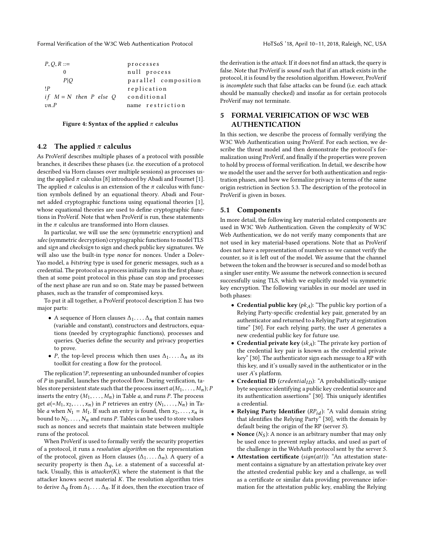| processes            |
|----------------------|
| null process         |
| parallel composition |
| replication          |
| conditional          |
| name restriction     |
|                      |

#### Figure 4: Syntax of the applied  $\pi$  calculus

#### 4.2 The applied  $\pi$  calculus

As ProVerif describes multiple phases of a protocol with possible branches, it describes these phases (i.e. the execution of a protocol described via Horn clauses over multiple sessions) as processes using the applied  $\pi$  calculus [8] introduced by Abadi and Fournet [1]. The applied  $\pi$  calculus is an extension of the  $\pi$  calculus with function symbols defined by an equational theory. Abadi and Fournet added cryptographic functions using equational theories [1], whose equational theories are used to define cryptographic functions in ProVerif. Note that when ProVerif is run, these statements in the  $\pi$  calculus are transformed into Horn clauses.

In particular, we will use the senc (symmetric encryption) and sdec (symmetric decryption) cryptographic functions to model TLS and sign and checksign to sign and check public key signatures. We will also use the built-in type nonce for nonces. Under a Dolev-Yao model, a bitstring type is used for generic messages, such as a credential. The protocol as a process initially runs in the first phase; then at some point protocol in this phase can stop and processes of the next phase are run and so on. State may be passed between phases, such as the transfer of compromised keys.

To put it all together, a ProVerif protocol description Σ has two major parts:

- A sequence of Horn clauses  $\Delta_1$ ...  $\Delta_n$  that contain names (variable and constant), constructors and destructors, equations (needed by cryptographic functions), processes and queries. Queries define the security and privacy properties to prove.
- *P*, the top-level process which then uses  $\Delta_1$ ....  $\Delta_n$  as its toolkit for creating a flow for the protocol.

The replication !P, representing an unbounded number of copies of  $P$  in parallel, launches the protocol flow. During verification, tables store persistent state such that the process insert  $a(M_1, \ldots, M_n)$ ; P inserts the entry  $(M_1, \ldots, M_n)$  in Table *a*, and runs *P*. The process get  $a(=M_1, x_2, \ldots, x_n)$  in P retrieves an entry  $(N_1, \ldots, N_n)$  in Table *a* when  $N_1 = M_1$ . If such an entry is found, then  $x_2, \ldots, x_n$  is bound to  $N_2, \ldots, N_n$  and runs P. Tables can be used to store values such as nonces and secrets that maintain state between multiple runs of the protocol.

When ProVerif is used to formally verify the security properties of a protocol, it runs a resolution algorithm on the representation of the protocol, given as Horn clauses  $(\Delta_1, \ldots, \Delta_n)$ . A query of a security property is then  $\Delta q$ , i.e. a statement of a successful attack. Usually, this is  $attacker(K)$ , where the statement is that the attacker knows secret material K. The resolution algorithm tries to derive  $\Delta_q$  from  $\Delta_1$ ....  $\Delta_n$ . If it does, then the execution trace of

the derivation is the *attack*. If it does not find an attack, the query is false. Note that ProVerif is sound such that if an attack exists in the protocol, it is found by the resolution algorithm. However, ProVerif is incomplete such that false attacks can be found (i.e. each attack should be manually checked) and insofar as for certain protocols ProVerif may not terminate.

## 5 FORMAL VERIFICATION OF W3C WEB AUTHENTICATION

In this section, we describe the process of formally verifying the W3C Web Authentication using ProVerif. For each section, we describe the threat model and then demonstrate the protocol's formalization using ProVerif, and finally if the properties were proven to hold by process of formal verification. In detail, we describe how we model the user and the server for both authentication and registration phases, and how we formalize privacy in terms of the same origin restriction in Section 5.3. The description of the protocol in ProVerif is given in boxes.

#### 5.1 Components

In more detail, the following key material-related components are used in W3C Web Authentication. Given the complexity of W3C Web Authentication, we do not verify many components that are not used in key material-based operations. Note that as ProVerif does not have a representation of numbers so we cannot verify the counter, so it is left out of the model. We assume that the channel between the token and the browser is secured and so model both as a singler user entity. We assume the network connection is secured successfully using TLS, which we explicitly model via symmetric key encryption. The following variables in our model are used in both phases:

- Credential public key  $(\rho k_A)$ : "The public key portion of a Relying Party-specific credential key pair, generated by an authenticator and returned to a Relying Party at registration time" [30]. For each relying party, the user  $A$  generates a new credential public key for future use.
- Credential private key  $(sk_A)$ : "The private key portion of the credential key pair is known as the credential private key" [30]. The authenticator sign each message to a RP with this key, and it's usually saved in the authenticator or in the user A's platform.
- Credential ID (credential<sub>ID</sub>): "A probabilistically-unique byte sequence identifying a public key credential source and its authentication assertions" [30]. This uniquely identifies a credential.
- Relying Party Identifier  $(RP_{id})$ : "A valid domain string that identifies the Relying Party" [30], with the domain by default being the origin of the RP (server S).
- Nonce  $(N<sub>S</sub>)$ : A nonce is an arbitrary number that may only be used once to prevent replay attacks, and used as part of the challenge in the WebAuth protocol sent by the server S.
- Attestation certificate (sign(att)): "An attestation statement contains a signature by an attestation private key over the attested credential public key and a challenge, as well as a certificate or similar data providing provenance information for the attestation public key, enabling the Relying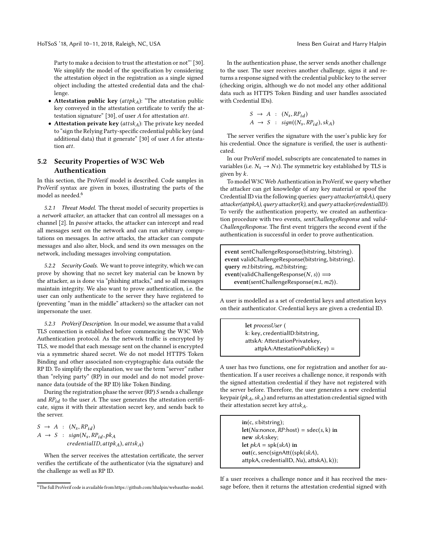Party to make a decision to trust the attestation or not"' [30]. We simplify the model of the specification by considering the attestation object in the registration as a single signed object including the attested credential data and the challenge.

- Attestation public key  $(atth)$ : "The attestation public key conveyed in the attestation certificate to verify the attestation signature" [30], of user A for attestation att.
- Attestation private key ( $attsk_A$ ): The private key needed to "sign the Relying Party-specific credential public key (and additional data) that it generate" [30] of user A for attestation att.

## 5.2 Security Properties of W3C Web Authentication

In this section, the ProVerif model is described. Code samples in ProVerif syntax are given in boxes, illustrating the parts of the model as needed.<sup>6</sup>

5.2.1 Threat Model. The threat model of security properties is a network attacker, an attacker that can control all messages on a channel [2]. In passive attacks, the attacker can intercept and read all messages sent on the network and can run arbitrary computations on messages. In active attacks, the attacker can compute messages and also alter, block, and send its own messages on the network, including messages involving computation.

5.2.2 Security Goals. We want to prove integrity, which we can prove by showing that no secret key material can be known by the attacker, as is done via "phishing attacks," and so all messages maintain integrity. We also want to prove authentication, i.e. the user can only authenticate to the server they have registered to (preventing "man in the middle" attackers) so the attacker can not impersonate the user.

5.2.3 ProVerif Description. In our model, we assume that a valid TLS connection is established before commencing the W3C Web Authentication protocol. As the network traffic is encrypted by TLS, we model that each message sent on the channel is encrypted via a symmetric shared secret. We do not model HTTPS Token Binding and other associated non-cryptographic data outside the RP ID. To simplify the explanation, we use the term "server" rather than "relying party" (RP) in our model and do not model provenance data (outside of the RP ID) like Token Binding.

During the registration phase the server (RP) S sends a challenge and  $RP_{id}$  to the user A. The user generates the attestation certificate, signs it with their attestation secret key, and sends back to the server.

 $S \rightarrow A : (N_s, RP_{id})$  $A \rightarrow S$  : sign(N<sub>s</sub>, RP<sub>id</sub>, pk<sub>A</sub>  $credentialID, atthk_A), attsk_A)$ 

When the server receives the attestation certificate, the server verifies the certificate of the authenticator (via the signature) and the challenge as well as RP ID.

In the authentication phase, the server sends another challenge to the user. The user receives another challenge, signs it and returns a response signed with the credential public key to the server (checking origin, although we do not model any other additional data such as HTTPS Token Binding and user handles associated with Credential IDs).

$$
S \rightarrow A : (N_s, RP_{id})
$$
  

$$
A \rightarrow S : sign((N_s, RP_{id}), sk_A)
$$

The server verifies the signature with the user's public key for his credential. Once the signature is verified, the user is authenticated.

In our ProVerif model, subscripts are concatenated to names in variables (i.e.  $N_s \rightarrow N_s$ ). The symmetric key established by TLS is given by  $k$ .

To model W3C Web Authentication in ProVerif, we query whether the attacker can get knowledge of any key material or spoof the Credential ID via the following queries: query attacker(attskA), query attacker(attpkA), query attacker(k), and query attacker(credentialID). To verify the authentication property, we created an authentication procedure with two events, sentChallengeResponse and valid-ChallengeResponse. The first event triggers the second event if the authentication is successful in order to prove authentication.

event sentChallengeResponse(bitstring, bitstring). event validChallengeResponse(bitstring, bitstring). query *m1*:bitstring, *m2*:bitstring;  $event(valuehallengeResponse(N, s)) \Longrightarrow$ event(sentChallengeResponse(m1, m2)).

A user is modelled as a set of credential keys and attestation keys on their authenticator. Credential keys are given a credential ID.

> let processUser ( k: key, credentialID:bitstring, attskA: AttestationPrivatekey,  $atrbkA:AttestationPublicKey) =$

A user has two functions, one for registration and another for authentication. If a user receives a challenge nonce, it responds with the signed attestation credential if they have not registered with the server before. Therefore, the user generates a new credential keypair ( $pk_A$ ,  $sk_A$ ) and returns an attestation credential signed with their attestation secret key  $attsk_A$ .

> in(c, s:bitstring);  $let(Nu:none, RP:host) = sdec(s, k)$  in new skA:skey; let  $pkA = spk(skA)$  in out(c, senc(signAtt((spk(skA), attpkA, credentialID,  $Nu$ ), attskA), k));

If a user receives a challenge nonce and it has received the message before, then it returns the attestation credential signed with

 $^6$  The full ProVerif code is available fro[m https://github.com/hhalpin/webauthn-model.](https://github.com/hhalpin/webauthn-model)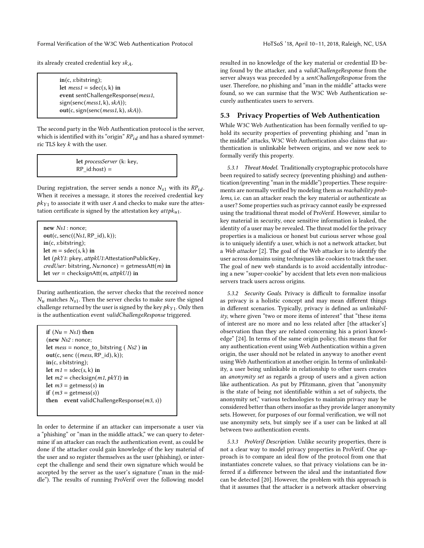its already created credential key  $sk_A$ .

in(c, s:bitstring); let  $mess1 = \text{sdec}(s, k)$  in event sentChallengeResponse(mess1,  $sign(senc(mess1, k), skA));$  $out(c, sign(senc(mess1, k), skA)).$ 

The second party in the Web Authentication protocol is the server, which is identified with its "origin"  $RP_{id}$  and has a shared symmetric TLS key k with the user.

> let processServer (k: key,  $RP$  id:host) =

During registration, the server sends a nonce  $N_{s1}$  with its  $RP_{id}$ . When it receives a message, it stores the received credential key  $pk_{Y1}$  to associate it with user A and checks to make sure the attestation certificate is signed by the attestation key  $atthu_1$ .

new Ns1 : nonce;  $out(c,senc((Ns1, RP_id), k));$ in(c, s:bitstring); let  $m = \text{sdec}(s, k)$  in let ( $pkY1$ : pkey,  $attpkU1$ :AttestationPublicKey,  $credUser:$  bitstring,  $Nu:$ nonce) = getmess $Att(m)$  in let ver = checksignAtt $(m, \text{attpkU1})$  in

During authentication, the server checks that the received nonce  $N_u$  matches  $N_{s1}$ . Then the server checks to make sure the signed challenge returned by the user is signed by the key  $pk_{Y1}$ . Only then is the authentication event validChallengeResponse triggered.

```
if (Nu = Ns1) then
(new Ns2 : nonce;
let mess = nonce to bitstring (Ns2) in
out(c, senc ((mess, RP id), k));
in(c, s:bitstring);
let m1 = \text{sdec}(s, k) in
let m2 = checksign(m1, pkY1) in
let m3 = getmess(s) in
if (m3 = \text{getmess}(s))then event validChallengeResponse(m3, s))
```
In order to determine if an attacker can impersonate a user via a "phishing" or "man in the middle attack," we can query to determine if an attacker can reach the authentication event, as could be done if the attacker could gain knowledge of the key material of the user and so register themselves as the user (phishing), or intercept the challenge and send their own signature which would be accepted by the server as the user's signature ("man in the middle"). The results of running ProVerif over the following model

resulted in no knowledge of the key material or credential ID being found by the attacker, and a validChallengeResponse from the server always was preceded by a sentChallengeResponse from the user. Therefore, no phishing and "man in the middle" attacks were found, so we can surmise that the W3C Web Authentication securely authenticates users to servers.

## 5.3 Privacy Properties of Web Authentication

While W3C Web Authentication has been formally verified to uphold its security properties of preventing phishing and "man in the middle" attacks, W3C Web Authentication also claims that authentication is unlinkable between origins, and we now seek to formally verify this property.

5.3.1 Threat Model. Traditionally cryptographic protocols have been required to satisfy secrecy (preventing phishing) and authentication (preventing "man in the middle") properties. These requirements are normally verified by modeling them as reachability problems, i.e. can an attacker reach the key material or authenticate as a user? Some properties such as privacy cannot easily be expressed using the traditional threat model of ProVerif. However, similar to key material in security, once sensitive information is leaked, the identity of a user may be revealed. The threat model for the privacy properties is a malicious or honest but curious server whose goal is to uniquely identify a user, which is not a network attacker, but a Web attacker [2]. The goal of the Web attacker is to identify the user across domains using techniques like cookies to track the user. The goal of new web standards is to avoid accidentally introducing a new "super-cookie" by accident that lets even non-malicious servers track users across origins.

5.3.2 Security Goals. Privacy is difficult to formalize insofar as privacy is a holistic concept and may mean different things in different scenarios. Typically, privacy is defined as unlinkability, where given "two or more items of interest" that "these items of interest are no more and no less related after [the attacker's] observation than they are related concerning his a priori knowledge" [24]. In terms of the same origin policy, this means that for any authentication event using Web Authentication within a given origin, the user should not be related in anyway to another event using Web Authentication at another origin. In terms of unlinkability, a user being unlinkable in relationship to other users creates an anonymity set as regards a group of users and a given action like authentication. As put by Pfitzmann, given that "anonymity is the state of being not identifiable within a set of subjects, the anonymity set," various technologies to maintain privacy may be considered better than others insofar as they provide larger anonymity sets. However, for purposes of our formal verification, we will not use anonymity sets, but simply see if a user can be linked at all between two authentication events.

5.3.3 ProVerif Description. Unlike security properties, there is not a clear way to model privacy properties in ProVerif. One approach is to compare an ideal flow of the protocol from one that instantiates concrete values, so that privacy violations can be inferred if a difference between the ideal and the instantiated flow can be detected [20]. However, the problem with this approach is that it assumes that the attacker is a network attacker observing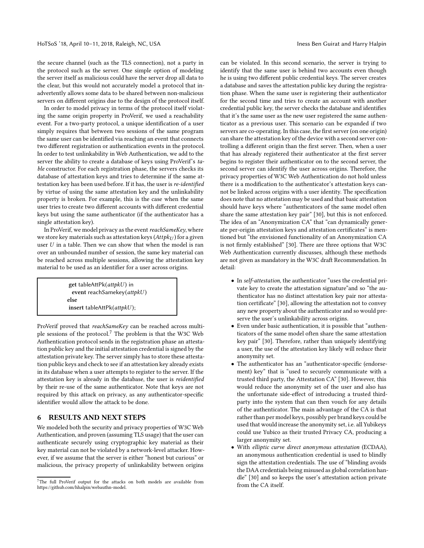the secure channel (such as the TLS connection), not a party in the protocol such as the server. One simple option of modeling the server itself as malicious could have the server drop all data to the clear, but this would not accurately model a protocol that inadvertently allows some data to be shared between non-malicious servers on different origins due to the design of the protocol itself.

In order to model privacy in terms of the protocol itself violating the same origin property in ProVerif, we used a reachability event. For a two-party protocol, a unique identification of a user simply requires that between two sessions of the same program the same user can be identified via reaching an event that connects two different registration or authentication events in the protocol. In order to test unlinkability in Web Authentication, we add to the server the ability to create a database of keys using ProVerif's table constructor. For each registration phase, the servers checks its database of attestation keys and tries to determine if the same attestation key has been used before. If it has, the user is re-identified by virtue of using the same attestation key and the unlinkability property is broken. For example, this is the case when the same user tries to create two different accounts with different credential keys but using the same authenticator (if the authenticator has a single attestation key).

In ProVerif, we model privacy as the event reachSameKey, where we store key materials such as attestation keys  $(Attpk_U)$  for a given user U in a table. Then we can show that when the model is ran over an unbounded number of session, the same key material can be reached across multiple sessions, allowing the attestation key material to be used as an identifier for a user across origins.

> get tableAttPk(attpkU) in event reachSamekey( $attpkU$ ) else insert tableAttPk( $attpkU$ );

ProVerif proved that reachSameKey can be reached across multiple sessions of the protocol.<sup>7</sup> The problem is that the W3C Web Authentication protocol sends in the registration phase an attestation public key and the initial attestation credential is signed by the attestation private key. The server simply has to store these attestation public keys and check to see if an attestation key already exists in its database when a user attempts to register to the server. If the attestation key is already in the database, the user is reidentified by their re-use of the same authenticator. Note that keys are not required by this attack on privacy, as any authenticator-specific identifier would allow the attack to be done.

## 6 RESULTS AND NEXT STEPS

We modeled both the security and privacy properties of W3C Web Authentication, and proven (assuming TLS usage) that the user can authenticate securely using cryptographic key material as their key material can not be violated by a network-level attacker. However, if we assume that the server is either "honest but curious" or malicious, the privacy property of unlinkability between origins

can be violated. In this second scenario, the server is trying to identify that the same user is behind two accounts even though he is using two different public credential keys. The server creates a database and saves the attestation public key during the registration phase. When the same user is registering their authenticator for the second time and tries to create an account with another credential public key, the server checks the database and identifies that it's the same user as the new user registered the same authenticator as a previous user. This scenario can be expanded if two servers are co-operating. In this case, the first server (on one origin) can share the attestation key of the device with a second server controlling a different origin than the first server. Then, when a user that has already registered their authenticator at the first server begins to register their authenticator on to the second server, the second server can identify the user across origins. Therefore, the privacy properties of W3C Web Authentication do not hold unless there is a modification to the authenticator's attestation keys cannot be linked across origins with a user identity. The specification does note that no attestation may be used and that basic attestation should have keys where "authenticators of the same model often share the same attestation key pair" [30], but this is not enforced. The idea of an "Anonymization CA" that "can dynamically generate per-origin attestation keys and attestation certificates" is mentioned but "the envisioned functionality of an Anonymization CA is not firmly established" [30]. There are three options that W3C Web Authentication currently discusses, although these methods are not given as mandatory in the W3C draft Recommendation. In detail:

- In self-attestation, the authenticator "uses the credential private key to create the attestation signature"and so "the authenticator has no distinct attestation key pair nor attestation certificate" [30], allowing the attestation not to convey any new property about the authenticator and so would preserve the user's unlinkability across origins.
- Even under basic authentication, it is possible that "authenticators of the same model often share the same attestation key pair" [30]. Therefore, rather than uniquely identifying a user, the use of the attestation key likely will reduce their anonymity set.
- The authenticator has an "authenticator-specific (endorsement) key" that is "used to securely communicate with a trusted third party, the Attestation CA" [30]. However, this would reduce the anonymity set of the user and also has the unfortunate side-effect of introducing a trusted thirdparty into the system that can then vouch for any details of the authenticator. The main advantage of the CA is that rather than per model keys, possibly per brand keys could be used that would increase the anonymity set, i.e. all Yubikeys could use Yubico as their trusted Privacy CA, producing a larger anonymity set.
- With elliptic curve direct anonymous attestation (ECDAA), an anonymous authentication credential is used to blindly sign the attestation credentials. The use of "blinding avoids the DAA credentials being misused as global correlation handle" [30] and so keeps the user's attestation action private from the CA itself.

 ${\rm ^7The}$  full ProVerif output for the attacks on both models are available from [https://github.com/hhalpin/webauthn-model.](https://github.com/hhalpin/webauthn-model)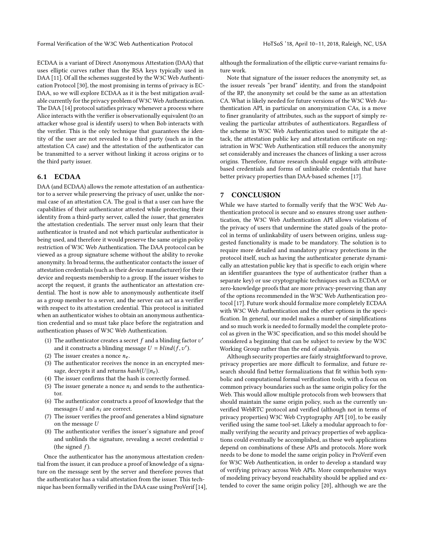ECDAA is a variant of Direct Anonymous Attestation (DAA) that uses elliptic curves rather than the RSA keys typically used in DAA [11]. Of all the schemes suggested by the W3C Web Authentication Protocol [30], the most promising in terms of privacy is EC-DAA, so we will explore ECDAA as it is the best mitigation available currently for the privacy problem of W3C Web Authentication. The DAA [14] protocol satisfies privacy whenever a process where Alice interacts with the verifier is observationally equivalent (to an attacker whose goal is identify users) to when Bob interacts with the verifier. This is the only technique that guarantees the identity of the user are not revealed to a third party (such as in the attestation CA case) and the attestation of the authenticator can be transmitted to a server without linking it across origins or to the third party issuer.

#### 6.1 ECDAA

DAA (and ECDAA) allows the remote attestation of an authenticator to a server while preserving the privacy of user, unlike the normal case of an attestation CA. The goal is that a user can have the capabilities of their authenticator attested while protecting their identity from a third-party server, called the issuer, that generates the attestation credentials. The server must only learn that their authenticator is trusted and not which particular authenticator is being used, and therefore it would preserve the same origin policy restriction of W3C Web Authentication. The DAA protocol can be viewed as a group signature scheme without the ability to revoke anonymity. In broad terms, the authenticator contacts the issuer of attestation credentials (such as their device manufacturer) for their device and requests membership to a group. If the issuer wishes to accept the request, it grants the authenticator an attestation credential. The host is now able to anonymously authenticate itself as a group member to a server, and the server can act as a verifier with respect to its attestation credential. This protocol is initiated when an authenticator wishes to obtain an anonymous authentication credential and so must take place before the registration and authentication phases of W3C Web Authentication.

- (1) The authenticator creates a secret  $f$  and a blinding factor  $v'$ and it constructs a blinding message  $U = blind(f, v').$
- (2) The issuer creates a nonce  $n_e$ .
- (3) The authenticator receives the nonce in an encrypted message, decrypts it and returns  $hash(U||n_e)$ .
- (4) The issuer confirms that the hash is correctly formed.
- (5) The issuer generate a nonce  $n_i$  and sends to the authenticator.
- (6) The authenticator constructs a proof of knowledge that the messages  $U$  and  $n_i$  are correct.
- (7) The issuer verifies the proof and generates a blind signature on the message U
- $(8)$  The authenticator verifies the issuer's signature and proof and unblinds the signature, revealing a secret credential  $v$ (the signed  $f$ ).

Once the authenticator has the anonymous attestation credential from the issuer, it can produce a proof of knowledge of a signature on the message sent by the server and therefore proves that the authenticator has a valid attestation from the issuer. This technique has been formally verified in the DAA case using ProVerif [14], although the formalization of the elliptic curve-variant remains future work.

Note that signature of the issuer reduces the anonymity set, as the issuer reveals "per brand" identity, and from the standpoint of the RP, the anonymity set could be the same as an attestation CA. What is likely needed for future versions of the W3C Web Authentication API, in particular on anonymization CAs, is a move to finer granularity of attributes, such as the support of simply revealing the particular attributes of authenticators. Regardless of the scheme in W3C Web Authentication used to mitigate the attack, the attestation public key and attestation certificate on registration in W3C Web Authentication still reduces the anonymity set considerably and increases the chances of linking a user across origins. Therefore, future research should engage with attributebased credentials and forms of unlinkable credentials that have better privacy properties than DAA-based schemes [17].

#### 7 CONCLUSION

While we have started to formally verify that the W3C Web Authentication protocol is secure and so ensures strong user authentication, the W3C Web Authentication API allows violations of the privacy of users that undermine the stated goals of the protocol in terms of unlinkability of users between origins, unless suggested functionality is made to be mandatory. The solution is to require more detailed and mandatory privacy protections in the protocol itself, such as having the authenticator generate dynamically an attestation public key that is specific to each origin where an identifier guarantees the type of authenticator (rather than a separate key) or use cryptographic techniques such as ECDAA or zero-knowledge proofs that are more privacy-preserving than any of the options recommended in the W3C Web Authentication protocol [17]. Future work should formalize more completely ECDAA with W3C Web Authentication and the other options in the speci fication. In general, our model makes a number of simplifications and so much work is needed to formally model the complete protocol as given in the W3C specification, and so this model should be considered a beginning that can be subject to review by the W3C Working Group rather than the end of analysis.

Although security properties are fairly straightforward to prove, privacy properties are more difficult to formalize, and future research should find better formalizations that fit within both symbolic and computational formal verification tools, with a focus on common privacy boundaries such as the same origin policy for the Web. This would allow multiple protocols from web browsers that should maintain the same origin policy, such as the currently unverified WebRTC protocol and verified (although not in terms of privacy properties) W3C Web Cryptography API [10], to be easily verified using the same tool-set. Likely a modular approach to formally verifying the security and privacy properties of web applications could eventually be accomplished, as these web applications depend on combinations of these APIs and protocols. More work needs to be done to model the same origin policy in ProVerif even for W3C Web Authentication, in order to develop a standard way of verifying privacy across Web APIs. More comprehensive ways of modeling privacy beyond reachability should be applied and extended to cover the same origin policy [20], although we are the